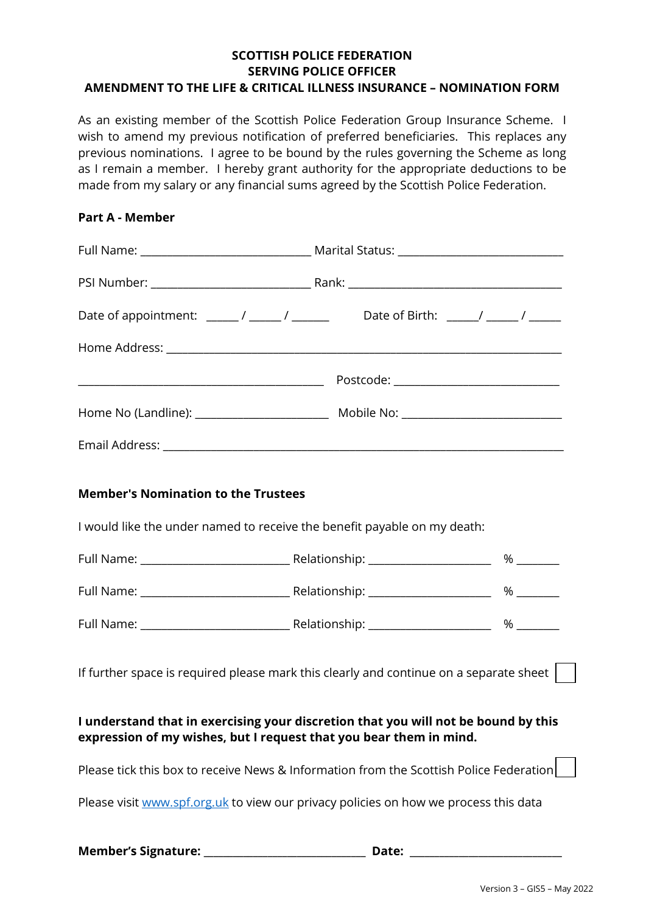#### **SCOTTISH POLICE FEDERATION SERVING POLICE OFFICER AMENDMENT TO THE LIFE & CRITICAL ILLNESS INSURANCE – NOMINATION FORM**

As an existing member of the Scottish Police Federation Group Insurance Scheme. I wish to amend my previous notification of preferred beneficiaries. This replaces any previous nominations. I agree to be bound by the rules governing the Scheme as long as I remain a member. I hereby grant authority for the appropriate deductions to be made from my salary or any financial sums agreed by the Scottish Police Federation.

# **Part A - Member**

| Date of appointment: ________/ _______/ _______________Date of Birth: ______/ _______/ _______                                                           |  |  |  |  |
|----------------------------------------------------------------------------------------------------------------------------------------------------------|--|--|--|--|
|                                                                                                                                                          |  |  |  |  |
|                                                                                                                                                          |  |  |  |  |
|                                                                                                                                                          |  |  |  |  |
|                                                                                                                                                          |  |  |  |  |
|                                                                                                                                                          |  |  |  |  |
| <b>Member's Nomination to the Trustees</b>                                                                                                               |  |  |  |  |
| I would like the under named to receive the benefit payable on my death:                                                                                 |  |  |  |  |
|                                                                                                                                                          |  |  |  |  |
|                                                                                                                                                          |  |  |  |  |
|                                                                                                                                                          |  |  |  |  |
| If further space is required please mark this clearly and continue on a separate sheet $\vert \quad \vert$                                               |  |  |  |  |
| I understand that in exercising your discretion that you will not be bound by this<br>expression of my wishes, but I request that you bear them in mind. |  |  |  |  |
| Please tick this box to receive News & Information from the Scottish Police Federation                                                                   |  |  |  |  |
| Please visit www.spf.org.uk to view our privacy policies on how we process this data                                                                     |  |  |  |  |
|                                                                                                                                                          |  |  |  |  |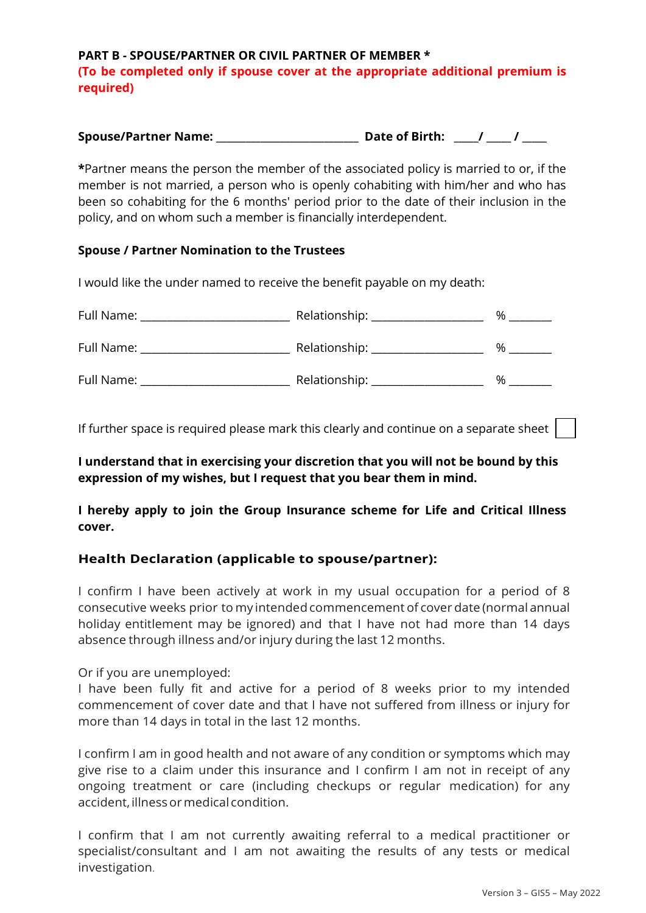**PART B - SPOUSE/PARTNER OR CIVIL PARTNER OF MEMBER \* (To be completed only if spouse cover at the appropriate additional premium is required)** 

| <b>Spouse/Partner Name:</b> | <b>Date of Birth:</b> |  |
|-----------------------------|-----------------------|--|
|-----------------------------|-----------------------|--|

**\***Partner means the person the member of the associated policy is married to or, if the member is not married, a person who is openly cohabiting with him/her and who has been so cohabiting for the 6 months' period prior to the date of their inclusion in the policy, and on whom such a member is financially interdependent.

#### **Spouse / Partner Nomination to the Trustees**

I would like the under named to receive the benefit payable on my death:

| Full Name: | Relationship: ___ | % |
|------------|-------------------|---|
| Full Name: | Relationship:     | % |
| Full Name: | Relationship:     | % |

If further space is required please mark this clearly and continue on a separate sheet

**I understand that in exercising your discretion that you will not be bound by this expression of my wishes, but I request that you bear them in mind.** 

**I hereby apply to join the Group Insurance scheme for Life and Critical Illness cover.** 

## **Health Declaration (applicable to spouse/partner):**

I confirm I have been actively at work in my usual occupation for a period of 8 consecutive weeks prior to my intended commencement of cover date (normal annual holiday entitlement may be ignored) and that I have not had more than 14 days absence through illness and/or injury during the last 12 months.

Or if you are unemployed:

I have been fully fit and active for a period of 8 weeks prior to my intended commencement of cover date and that I have not suffered from illness or injury for more than 14 days in total in the last 12 months.

I confirm I am in good health and not aware of any condition or symptoms which may give rise to a claim under this insurance and I confirm I am not in receipt of any ongoing treatment or care (including checkups or regular medication) for any accident, illness or medical condition.

I confirm that I am not currently awaiting referral to a medical practitioner or specialist/consultant and I am not awaiting the results of any tests or medical investigation.